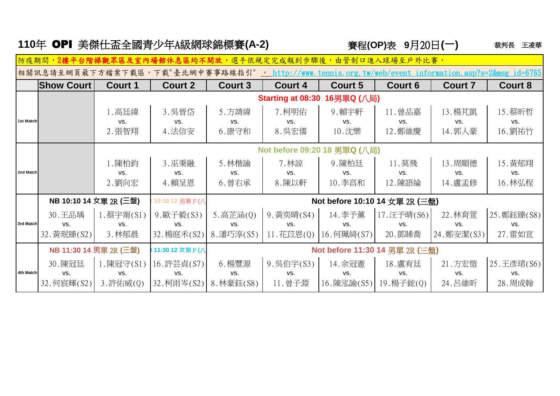|  |  | 110年 OPI 美傑仕盃全國青少年A級網球錦標賽(A-2) |  |
|--|--|--------------------------------|--|
|--|--|--------------------------------|--|

裁判長 王凌華 **|賽程(OP)表 9月20日(一)** 

**Show Court Court 1 Court 2 Court 3 Court 4 Court 5 Court 6 Court 7 Court 8** 1.高廷緯 | 3.吳晉岱 | 5.方靖緯 | 7.柯明佑 | 9.賴宇軒 | 11.曾品嘉 | 13.楊芃凱 | 15.蔡昕哲 **1st Match** vs. vs. vs. vs. vs. vs. vs. vs. 2.張智翔 | 4.法信安 | 6.康守和 | 8.吳宏儒 | 10.沈樂 | 12.鄭維慶 | 14.郭人豪 | 16.劉祐竹 1.陳柏鈞 | 3.巫秉融 | 5.林楷諭 | 7.林諒 | 9.陳柏廷 | 11.莫飛 | 13.周順德 | 15.黃郁翔 2nd Match**ool (1990), viewer van de versuit van de versuit van de versuit van de versuit van de versuit van de v** 2.劉向宏 | 4.賴呈恩 | 6.曾右承 | 8.陳以軒 | 10.李亯和 | 12.陳語綸 | 14.盧孟修 | 16.林弘程 30.王品瑀 | 1.蔡宇甯(S1) | 9.歐子毅(S3) | 5.高芷涵(Q) | 9.黃奕晴(S4) | 14.李予薰 |17.汪予晴(S6)| 22.林育萱 |25.鄭鈺臻(S8) **3rd Match** vs. vs. vs. vs. vs. vs. vs. vs. vs. 32.黃珉臻(S2) | 3.林郁晨 | 32.楊庭禾(S2) | 8.潘巧淳(S5) | 11.花苡恩(O) | 16.何珮綺(S7) | 20.鄧睎喬 | 24.鄭安潔(S3) | 27.雷如宣 30.陳冠廷 |1.陳冠守(S1) |16.許芸貞(S7) | 6.楊豐源 |9.吳伯宇(S3) | 14.余冠憲 | 18.盧宥廷 | 21.方宏愷 |25.王彥珺(S6) 4th Match**|** vs. | vs. | vs. | vs. | vs. | vs. | vs. | vs. | vs. | vs. | vs. 32.何宸輝(S2) | 3.許佑威(O) | 32.柯雨岑(S2) | 8.林豪鈺(S8) | 11.曾子淵 | 16.陳泓諭(S5) | 19.楊子鋐(O) | 24.呂維昕 | 28.周成翰 **Not before 09:20 18** 男單**Q (**八局**)**  $10:10$  12 男單 F (八 **Not before 11:30 14 男單 2R (三盤) NB 10:10 14 女**單 2R **(三盤)** 防疫期間,2樓平台階梯觀眾區及室內場館休息區均不開放,選手依規定完成報到步驟後,由管制口進入球場至戶外比賽, 相關訊息請至網頁最下方檔案下載區,下載"臺北網中賽事路線指引", http://www.tennis.org.tw/web/event\_information.asp?s=2&msg\_id=6765 **Starting at 08:30 16**男單**Q (**八局**) Not before 10:10 14** 女單 2R **(**三盤**) NB 11:30 14 男**單 2R **(三盤)**